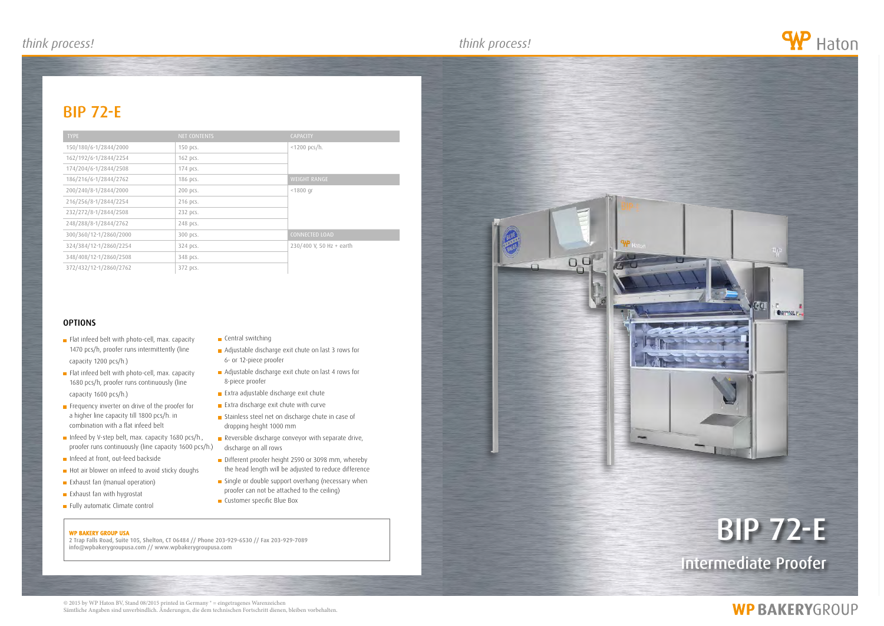WP BAKERY GROUP USA 2 Trap Falls Road, Suite 105, Shelton, CT 06484 // Phone 203-929-6530 // Fax 203-929-7089 info@wpbakerygroupusa.com // www.wpbakerygroupusa.com

# bip 72-e

## **WP BAKERYGROUP**



### bip 72-e

© 2015 by WP Haton BV, Stand 08/2015 printed in Germany ® = eingetragenes Warenzeichen Sämtliche Angaben sind unverbindlich. Änderungen, die dem technischen Fortschritt dienen, bleiben vorbehalten.



| <b>TYPE</b>            | <b>NET CONTENTS</b> | <b>CAPACITY</b>          |
|------------------------|---------------------|--------------------------|
| 150/180/6-1/2844/2000  | 150 pcs.            | $<$ 1200 pcs/h.          |
| 162/192/6-1/2844/2254  | 162 pcs.            |                          |
| 174/204/6-1/2844/2508  | 174 pcs.            |                          |
| 186/216/6-1/2844/2762  | 186 pcs.            | <b>WEIGHT RANGE</b>      |
| 200/240/8-1/2844/2000  | 200 pcs.            | $< 1800$ qr              |
| 216/256/8-1/2844/2254  | 216 pcs.            |                          |
| 232/272/8-1/2844/2508  | 232 pcs.            |                          |
| 248/288/8-1/2844/2762  | 248 pcs.            |                          |
| 300/360/12-1/2860/2000 | 300 pcs.            | <b>CONNECTED LOAD</b>    |
| 324/384/12-1/2860/2254 | 324 pcs.            | 230/400 V, 50 Hz + earth |
| 348/408/12-1/2860/2508 | 348 pcs.            |                          |
| 372/432/12-1/2860/2762 | 372 pcs.            |                          |

### **OPTIONS**

- **Flat infeed belt with photo-cell, max. capacity** 1470 pcs/h, proofer runs intermittently (line capacity 1200 pcs/h.)
- **Flat infeed belt with photo-cell, max. capacity** 1680 pcs/h, proofer runs continuously (line capacity 1600 pcs/h.)
- **Frequency inverter on drive of the proofer for** a higher line capacity till 1800 pcs/h. in combination with a flat infeed belt
- Infeed by V-step belt, max. capacity 1680 pcs/h., proofer runs continuously (line capacity 1600 pcs/h.)
- Infeed at front, out-feed backside
- Hot air blower on infeed to avoid sticky doughs
- **Exhaust fan (manual operation)**
- **Exhaust fan with hygrostat**
- Fully automatic Climate control

#### **Central switching**

- Adjustable discharge exit chute on last 3 rows for 6- or 12-piece proofer
- Adjustable discharge exit chute on last 4 rows for 8-piece proofer
- **Extra adjustable discharge exit chute**
- **Extra discharge exit chute with curve**
- Stainless steel net on discharge chute in case of dropping height 1000 mm
- Reversible discharge conveyor with separate drive, discharge on all rows
- Different proofer height 2590 or 3098 mm, whereby the head length will be adjusted to reduce difference
- Single or double support overhang (necessary when proofer can not be attached to the ceiling)
- **Customer specific Blue Box**